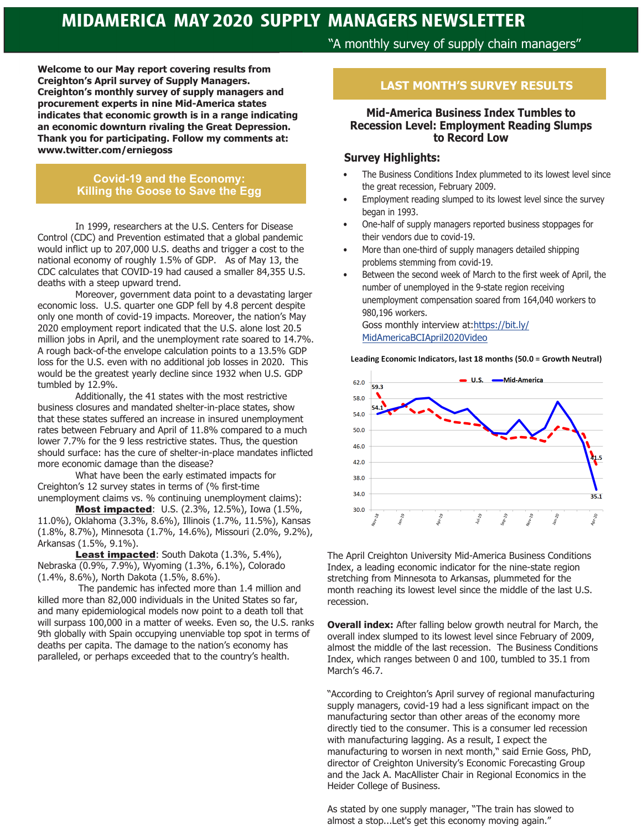# **MIDAMERICA MAY 2020 SUPPLY MANAGERS NEWSLETTER**

**Welcome to our May report covering results from Creighton's April survey of Supply Managers. Creighton's monthly survey of supply managers and procurement experts in nine Mid-America states indicates that economic growth is in a range indicating an economic downturn rivaling the Great Depression. Thank you for participating. Follow my comments at: www.twitter.com/erniegoss**

### **Covid-19 and the Economy: Killing the Goose to Save the Egg**

In 1999, researchers at the U.S. Centers for Disease Control (CDC) and Prevention estimated that a global pandemic would inflict up to 207,000 U.S. deaths and trigger a cost to the national economy of roughly 1.5% of GDP. As of May 13, the CDC calculates that COVID-19 had caused a smaller 84,355 U.S. deaths with a steep upward trend.

Moreover, government data point to a devastating larger economic loss. U.S. quarter one GDP fell by 4.8 percent despite only one month of covid-19 impacts. Moreover, the nation's May 2020 employment report indicated that the U.S. alone lost 20.5 million jobs in April, and the unemployment rate soared to 14.7%. A rough back-of-the envelope calculation points to a 13.5% GDP loss for the U.S. even with no additional job losses in 2020. This would be the greatest yearly decline since 1932 when U.S. GDP tumbled by 12.9%.

Additionally, the 41 states with the most restrictive business closures and mandated shelter-in-place states, show that these states suffered an increase in insured unemployment rates between February and April of 11.8% compared to a much lower 7.7% for the 9 less restrictive states. Thus, the question should surface: has the cure of shelter-in-place mandates inflicted more economic damage than the disease?

What have been the early estimated impacts for Creighton's 12 survey states in terms of (% first-time unemployment claims vs. % continuing unemployment claims):

Most impacted: U.S. (2.3%, 12.5%), Iowa (1.5%, 11.0%), Oklahoma (3.3%, 8.6%), Illinois (1.7%, 11.5%), Kansas (1.8%, 8.7%), Minnesota (1.7%, 14.6%), Missouri (2.0%, 9.2%), Arkansas (1.5%, 9.1%).

Least impacted: South Dakota (1.3%, 5.4%), Nebraska (0.9%, 7.9%), Wyoming (1.3%, 6.1%), Colorado (1.4%, 8.6%), North Dakota (1.5%, 8.6%).

 The pandemic has infected more than 1.4 million and killed more than 82,000 individuals in the United States so far, and many epidemiological models now point to a death toll that will surpass 100,000 in a matter of weeks. Even so, the U.S. ranks 9th globally with Spain occupying unenviable top spot in terms of deaths per capita. The damage to the nation's economy has paralleled, or perhaps exceeded that to the country's health.

# "A monthly survey of supply chain managers"

## **LAST MONTH'S SURVEY RESULTS**

#### **Mid-America Business Index Tumbles to Recession Level: Employment Reading Slumps to Record Low**

#### **Survey Highlights:**

- The Business Conditions Index plummeted to its lowest level since the great recession, February 2009.
- Employment reading slumped to its lowest level since the survey began in 1993.
- One-half of supply managers reported business stoppages for their vendors due to covid-19.
- More than one-third of supply managers detailed shipping problems stemming from covid-19.
- Between the second week of March to the first week of April, the number of unemployed in the 9-state region receiving unemployment compensation soared from 164,040 workers to 980,196 workers. Goss monthly interview at:https://bit.ly/

MidAmericaBCIApril2020Video

Leading Economic Indicators, last 18 months (50.0 = Growth Neutral)



The April Creighton University Mid-America Business Conditions Index, a leading economic indicator for the nine-state region stretching from Minnesota to Arkansas, plummeted for the month reaching its lowest level since the middle of the last U.S. recession.

**Overall index:** After falling below growth neutral for March, the overall index slumped to its lowest level since February of 2009, almost the middle of the last recession. The Business Conditions Index, which ranges between 0 and 100, tumbled to 35.1 from March's 46.7.

"According to Creighton's April survey of regional manufacturing supply managers, covid-19 had a less significant impact on the manufacturing sector than other areas of the economy more directly tied to the consumer. This is a consumer led recession with manufacturing lagging. As a result, I expect the manufacturing to worsen in next month," said Ernie Goss, PhD, director of Creighton University's Economic Forecasting Group and the Jack A. MacAllister Chair in Regional Economics in the Heider College of Business.

As stated by one supply manager, "The train has slowed to almost a stop...Let's get this economy moving again."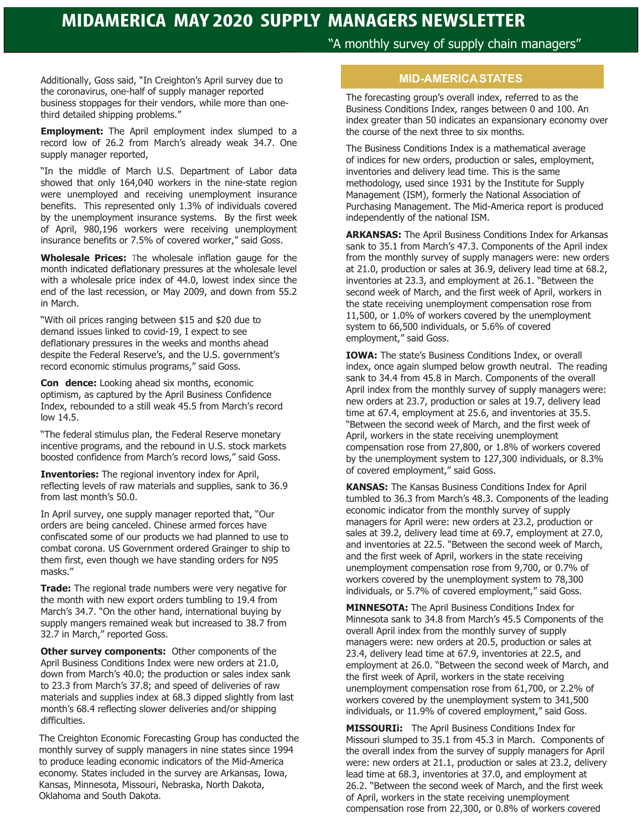# **MIDAMERICA MAY 2020 SUPPLY MANAGERS NEWSLETTER**

"A monthly survey of supply chain managers"

Additionally, Goss said, "In Creighton's April survey due to the coronavirus, one-half of supply manager reported business stoppages for their vendors, while more than onethird detailed shipping problems."

**Employment:** The April employment index slumped to a record low of 26.2 from March's already weak 34.7. One supply manager reported,

"In the middle of March U.S. Department of Labor data showed that only 164,040 workers in the nine-state region were unemployed and receiving unemployment insurance benefits. This represented only 1.3% of individuals covered by the unemployment insurance systems. By the first week of April, 980,196 workers were receiving unemployment insurance benefits or 7.5% of covered worker," said Goss.

**Wholesale Prices:** The wholesale inflation gauge for the month indicated deflationary pressures at the wholesale level with a wholesale price index of 44.0, lowest index since the end of the last recession, or May 2009, and down from 55.2 in March.

"With oil prices ranging between \$15 and \$20 due to demand issues linked to covid-19, I expect to see deflationary pressures in the weeks and months ahead despite the Federal Reserve's, and the U.S. government's record economic stimulus programs," said Goss.

**Con dence:** Looking ahead six months, economic optimism, as captured by the April Business Confidence Index, rebounded to a still weak 45.5 from March's record low 14.5.

"The federal stimulus plan, the Federal Reserve monetary incentive programs, and the rebound in U.S. stock markets boosted confidence from March's record lows," said Goss.

**Inventories:** The regional inventory index for April, reflecting levels of raw materials and supplies, sank to 36.9 from last month's 50.0.

In April survey, one supply manager reported that, "Our orders are being canceled. Chinese armed forces have confiscated some of our products we had planned to use to combat corona. US Government ordered Grainger to ship to them first, even though we have standing orders for N95 masks."

**Trade:** The regional trade numbers were very negative for the month with new export orders tumbling to 19.4 from March's 34.7. "On the other hand, international buying by supply mangers remained weak but increased to 38.7 from 32.7 in March," reported Goss.

**Other survey components:** Other components of the April Business Conditions Index were new orders at 21.0, down from March's 40.0; the production or sales index sank to 23.3 from March's 37.8; and speed of deliveries of raw materials and supplies index at 68.3 dipped slightly from last month's 68.4 reflecting slower deliveries and/or shipping difficulties.

The Creighton Economic Forecasting Group has conducted the monthly survey of supply managers in nine states since 1994 to produce leading economic indicators of the Mid-America economy. States included in the survey are Arkansas, Iowa, Kansas, Minnesota, Missouri, Nebraska, North Dakota, Oklahoma and South Dakota.

### **MID-AMERICA STATES**

The forecasting group's overall index, referred to as the Business Conditions Index, ranges between 0 and 100. An index greater than 50 indicates an expansionary economy over the course of the next three to six months.

The Business Conditions Index is a mathematical average of indices for new orders, production or sales, employment, inventories and delivery lead time. This is the same methodology, used since 1931 by the Institute for Supply Management (ISM), formerly the National Association of Purchasing Management. The Mid-America report is produced independently of the national ISM.

**ARKANSAS:** The April Business Conditions Index for Arkansas sank to 35.1 from March's 47.3. Components of the April index from the monthly survey of supply managers were: new orders at 21.0, production or sales at 36.9, delivery lead time at 68.2, inventories at 23.3, and employment at 26.1. "Between the second week of March, and the first week of April, workers in the state receiving unemployment compensation rose from 11,500, or 1.0% of workers covered by the unemployment system to 66,500 individuals, or 5.6% of covered employment," said Goss.

**IOWA:** The state's Business Conditions Index, or overall index, once again slumped below growth neutral. The reading sank to 34.4 from 45.8 in March. Components of the overall April index from the monthly survey of supply managers were: new orders at 23.7, production or sales at 19.7, delivery lead time at 67.4, employment at 25.6, and inventories at 35.5. "Between the second week of March, and the first week of April, workers in the state receiving unemployment compensation rose from 27,800, or 1.8% of workers covered by the unemployment system to 127,300 individuals, or 8.3% of covered employment," said Goss.

**KANSAS:** The Kansas Business Conditions Index for April tumbled to 36.3 from March's 48.3. Components of the leading economic indicator from the monthly survey of supply managers for April were: new orders at 23.2, production or sales at 39.2, delivery lead time at 69.7, employment at 27.0, and inventories at 22.5. "Between the second week of March, and the first week of April, workers in the state receiving unemployment compensation rose from 9,700, or 0.7% of workers covered by the unemployment system to 78,300 individuals, or 5.7% of covered employment," said Goss.

**MINNESOTA:** The April Business Conditions Index for Minnesota sank to 34.8 from March's 45.5 Components of the overall April index from the monthly survey of supply managers were: new orders at 20.5, production or sales at 23.4, delivery lead time at 67.9, inventories at 22.5, and employment at 26.0. "Between the second week of March, and the first week of April, workers in the state receiving unemployment compensation rose from 61,700, or 2.2% of workers covered by the unemployment system to 341,500 individuals, or 11.9% of covered employment," said Goss.

**MISSOURIi:** The April Business Conditions Index for Missouri slumped to 35.1 from 45.3 in March. Components of the overall index from the survey of supply managers for April were: new orders at 21.1, production or sales at 23.2, delivery lead time at 68.3, inventories at 37.0, and employment at 26.2. "Between the second week of March, and the first week of April, workers in the state receiving unemployment compensation rose from 22,300, or 0.8% of workers covered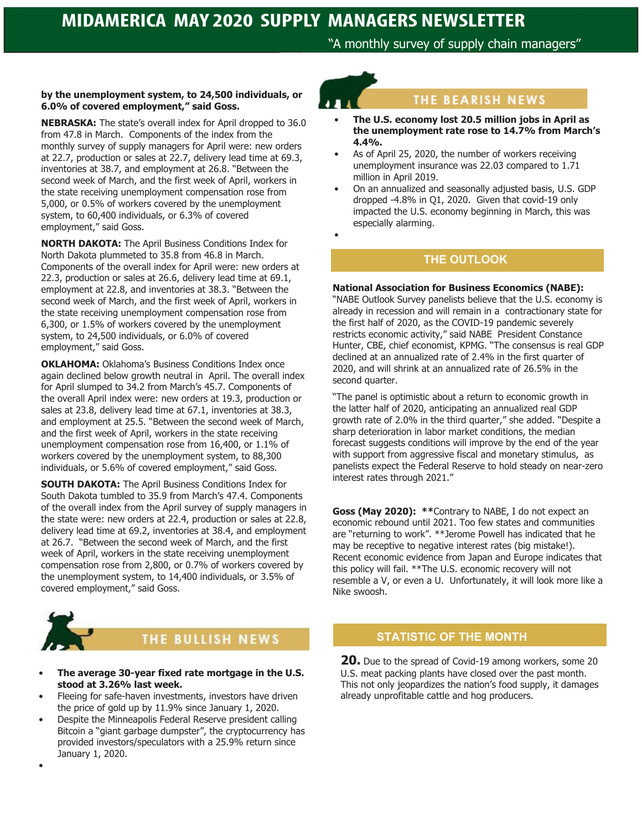"A monthly survey of supply chain managers"

#### **by the unemployment system, to 24,500 individuals, or 6.0% of covered employment," said Goss.**

**NEBRASKA:** The state's overall index for April dropped to 36.0 from 47.8 in March. Components of the index from the monthly survey of supply managers for April were: new orders at 22.7, production or sales at 22.7, delivery lead time at 69.3, inventories at 38.7, and employment at 26.8. "Between the second week of March, and the first week of April, workers in the state receiving unemployment compensation rose from 5,000, or 0.5% of workers covered by the unemployment system, to 60,400 individuals, or 6.3% of covered employment," said Goss.

**NORTH DAKOTA:** The April Business Conditions Index for North Dakota plummeted to 35.8 from 46.8 in March. Components of the overall index for April were: new orders at 22.3, production or sales at 26.6, delivery lead time at 69.1, employment at 22.8, and inventories at 38.3. "Between the second week of March, and the first week of April, workers in the state receiving unemployment compensation rose from 6,300, or 1.5% of workers covered by the unemployment system, to 24,500 individuals, or 6.0% of covered employment," said Goss.

**OKLAHOMA:** Oklahoma's Business Conditions Index once again declined below growth neutral in April. The overall index for April slumped to 34.2 from March's 45.7. Components of the overall April index were: new orders at 19.3, production or sales at 23.8, delivery lead time at 67.1, inventories at 38.3, and employment at 25.5. "Between the second week of March, and the first week of April, workers in the state receiving unemployment compensation rose from 16,400, or 1.1% of workers covered by the unemployment system, to 88,300 individuals, or 5.6% of covered employment," said Goss.

**SOUTH DAKOTA:** The April Business Conditions Index for South Dakota tumbled to 35.9 from March's 47.4. Components of the overall index from the April survey of supply managers in the state were: new orders at 22.4, production or sales at 22.8, delivery lead time at 69.2, inventories at 38.4, and employment at 26.7. "Between the second week of March, and the first week of April, workers in the state receiving unemployment compensation rose from 2,800, or 0.7% of workers covered by the unemployment system, to 14,400 individuals, or 3.5% of covered employment," said Goss.



•

# **THE BULLISH NEWS**

- **The average 30-year fixed rate mortgage in the U.S. stood at 3.26% last week.**
- Fleeing for safe-haven investments, investors have driven the price of gold up by 11.9% since January 1, 2020.
- Despite the Minneapolis Federal Reserve president calling Bitcoin a "giant garbage dumpster", the cryptocurrency has provided investors/speculators with a 25.9% return since January 1, 2020.

•

# THE BEARISH NEWS

- **The U.S. economy lost 20.5 million jobs in April as the unemployment rate rose to 14.7% from March's 4.4%.**
- As of April 25, 2020, the number of workers receiving unemployment insurance was 22.03 compared to 1.71 million in April 2019.
- On an annualized and seasonally adjusted basis, U.S. GDP dropped -4.8% in Q1, 2020. Given that covid-19 only impacted the U.S. economy beginning in March, this was especially alarming.

## **THE OUTLOOK**

#### **National Association for Business Economics (NABE):**

"NABE Outlook Survey panelists believe that the U.S. economy is already in recession and will remain in a contractionary state for the first half of 2020, as the COVID-19 pandemic severely restricts economic activity," said NABE President Constance Hunter, CBE, chief economist, KPMG. "The consensus is real GDP declined at an annualized rate of 2.4% in the first quarter of 2020, and will shrink at an annualized rate of 26.5% in the second quarter.

"The panel is optimistic about a return to economic growth in the latter half of 2020, anticipating an annualized real GDP growth rate of 2.0% in the third quarter," she added. "Despite a sharp deterioration in labor market conditions, the median forecast suggests conditions will improve by the end of the year with support from aggressive fiscal and monetary stimulus, as panelists expect the Federal Reserve to hold steady on near-zero interest rates through 2021."

**Goss (May 2020): \*\***Contrary to NABE, I do not expect an economic rebound until 2021. Too few states and communities are "returning to work". \*\*Jerome Powell has indicated that he may be receptive to negative interest rates (big mistake!). Recent economic evidence from Japan and Europe indicates that this policy will fail. \*\*The U.S. economic recovery will not resemble a V, or even a U. Unfortunately, it will look more like a Nike swoosh.

# **STATISTIC OF THE MONTH**

**20.** Due to the spread of Covid-19 among workers, some 20 U.S. meat packing plants have closed over the past month. This not only jeopardizes the nation's food supply, it damages already unprofitable cattle and hog producers.